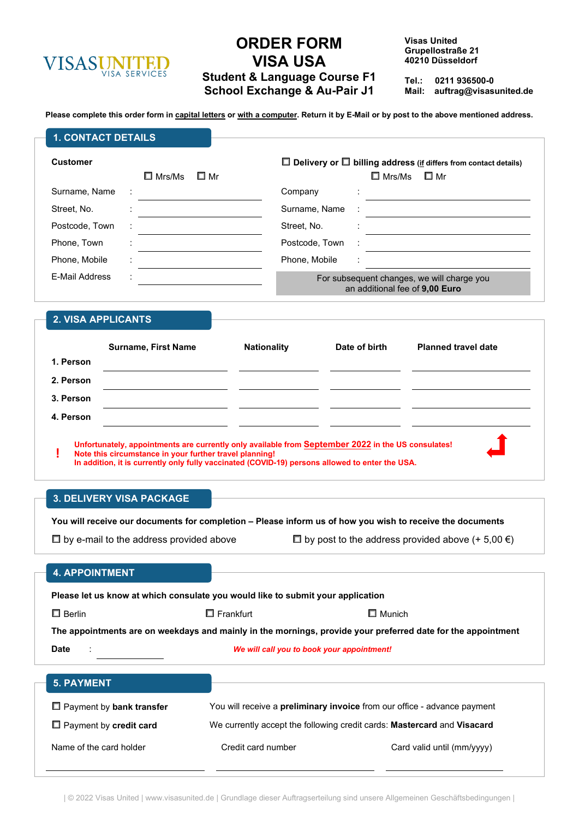

# **ORDER FORM VISA USA Student & Language Course F1 School Exchange & Au-Pair J1**

**Visas United Grupellostraße 21 40210 Düsseldorf**

**Tel.: 0211 936500-0 Mail: auftrag@visasunited.de**

**Please complete this order form in capital letters or with a computer. Return it by E-Mail or by post to the above mentioned address.**

| <b>1. CONTACT DETAILS</b> |                            |                                                                                                    |                                                                                                                 |                                                                              |  |
|---------------------------|----------------------------|----------------------------------------------------------------------------------------------------|-----------------------------------------------------------------------------------------------------------------|------------------------------------------------------------------------------|--|
| <b>Customer</b>           | $\square$ Mrs/Ms<br>□ Mr   |                                                                                                    | $\Box$ Delivery or $\Box$ billing address (if differs from contact details)<br>$\square$ Mr<br>$\square$ Mrs/Ms |                                                                              |  |
| Surname, Name             |                            | Company                                                                                            |                                                                                                                 |                                                                              |  |
| Street, No.               |                            | Surname, Name                                                                                      |                                                                                                                 |                                                                              |  |
| Postcode, Town            |                            | Street, No.                                                                                        |                                                                                                                 |                                                                              |  |
| Phone, Town               |                            | Postcode, Town                                                                                     |                                                                                                                 |                                                                              |  |
| Phone, Mobile             |                            | Phone, Mobile                                                                                      |                                                                                                                 |                                                                              |  |
| E-Mail Address            |                            |                                                                                                    |                                                                                                                 | For subsequent changes, we will charge you<br>an additional fee of 9,00 Euro |  |
| 2. VISA APPLICANTS        |                            |                                                                                                    |                                                                                                                 |                                                                              |  |
|                           | <b>Surname, First Name</b> | <b>Nationality</b>                                                                                 | Date of birth                                                                                                   | <b>Planned travel date</b>                                                   |  |
| 1. Person                 |                            |                                                                                                    |                                                                                                                 |                                                                              |  |
| 2. Person                 |                            |                                                                                                    |                                                                                                                 |                                                                              |  |
| 3. Person                 |                            |                                                                                                    |                                                                                                                 |                                                                              |  |
| 4. Person                 |                            |                                                                                                    |                                                                                                                 |                                                                              |  |
|                           |                            | Unfortunately, appointments are currently only available from September 2022 in the US consulates! |                                                                                                                 |                                                                              |  |

**! Unfortunately, appointments are currently only available from September<sup>2022</sup> in the US consulates! Note this circumstance in your further travel planning! In addition, it is currently only fully vaccinated (COVID-19) persons allowed to enter the USA.** 

# **3. DELIVERY VISA PACKAGE**

| 3. DELIVERY VISA PAUNAGE                                                                                           |                                                                                       |  |                                                                                                              |  |  |
|--------------------------------------------------------------------------------------------------------------------|---------------------------------------------------------------------------------------|--|--------------------------------------------------------------------------------------------------------------|--|--|
|                                                                                                                    |                                                                                       |  | You will receive our documents for completion – Please inform us of how you wish to receive the documents    |  |  |
| $\Box$ by e-mail to the address provided above                                                                     |                                                                                       |  | $\Box$ by post to the address provided above (+ 5,00 $\epsilon$ )                                            |  |  |
| <b>4. APPOINTMENT</b>                                                                                              |                                                                                       |  |                                                                                                              |  |  |
| Please let us know at which consulate you would like to submit your application                                    |                                                                                       |  |                                                                                                              |  |  |
| $\Box$ Berlin                                                                                                      | $\square$ Frankfurt                                                                   |  | $\Box$ Munich                                                                                                |  |  |
|                                                                                                                    |                                                                                       |  | The appointments are on weekdays and mainly in the mornings, provide your preferred date for the appointment |  |  |
| <b>Date</b>                                                                                                        | We will call you to book your appointment!                                            |  |                                                                                                              |  |  |
| <b>5. PAYMENT</b>                                                                                                  |                                                                                       |  |                                                                                                              |  |  |
| $\Box$ Payment by bank transfer<br>You will receive a <b>preliminary invoice</b> from our office - advance payment |                                                                                       |  |                                                                                                              |  |  |
| $\Box$ Payment by credit card                                                                                      | We currently accept the following credit cards: <b>Mastercard</b> and <b>Visacard</b> |  |                                                                                                              |  |  |
| Name of the card holder                                                                                            | Credit card number                                                                    |  | Card valid until (mm/yyyy)                                                                                   |  |  |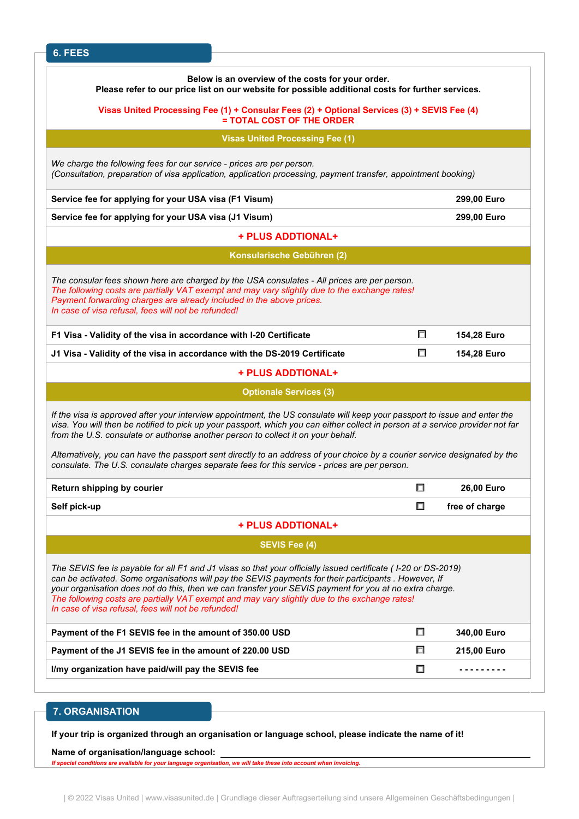| 6. FEES                                                                                                                                                                                                                                                                                                                                                                                                                                                                                   |        |                |
|-------------------------------------------------------------------------------------------------------------------------------------------------------------------------------------------------------------------------------------------------------------------------------------------------------------------------------------------------------------------------------------------------------------------------------------------------------------------------------------------|--------|----------------|
| Below is an overview of the costs for your order.<br>Please refer to our price list on our website for possible additional costs for further services.                                                                                                                                                                                                                                                                                                                                    |        |                |
| Visas United Processing Fee (1) + Consular Fees (2) + Optional Services (3) + SEVIS Fee (4)<br>= TOTAL COST OF THE ORDER                                                                                                                                                                                                                                                                                                                                                                  |        |                |
| <b>Visas United Processing Fee (1)</b>                                                                                                                                                                                                                                                                                                                                                                                                                                                    |        |                |
| We charge the following fees for our service - prices are per person.<br>(Consultation, preparation of visa application, application processing, payment transfer, appointment booking)                                                                                                                                                                                                                                                                                                   |        |                |
| Service fee for applying for your USA visa (F1 Visum)                                                                                                                                                                                                                                                                                                                                                                                                                                     |        | 299,00 Euro    |
| Service fee for applying for your USA visa (J1 Visum)                                                                                                                                                                                                                                                                                                                                                                                                                                     |        | 299,00 Euro    |
| + PLUS ADDTIONAL+                                                                                                                                                                                                                                                                                                                                                                                                                                                                         |        |                |
| Konsularische Gebühren (2)                                                                                                                                                                                                                                                                                                                                                                                                                                                                |        |                |
| The consular fees shown here are charged by the USA consulates - All prices are per person.<br>The following costs are partially VAT exempt and may vary slightly due to the exchange rates!<br>Payment forwarding charges are already included in the above prices.<br>In case of visa refusal, fees will not be refunded!                                                                                                                                                               |        |                |
| F1 Visa - Validity of the visa in accordance with I-20 Certificate                                                                                                                                                                                                                                                                                                                                                                                                                        | $\Box$ | 154,28 Euro    |
| J1 Visa - Validity of the visa in accordance with the DS-2019 Certificate                                                                                                                                                                                                                                                                                                                                                                                                                 | □      | 154,28 Euro    |
| + PLUS ADDTIONAL+                                                                                                                                                                                                                                                                                                                                                                                                                                                                         |        |                |
| <b>Optionale Services (3)</b>                                                                                                                                                                                                                                                                                                                                                                                                                                                             |        |                |
| If the visa is approved after your interview appointment, the US consulate will keep your passport to issue and enter the<br>visa. You will then be notified to pick up your passport, which you can either collect in person at a service provider not far<br>from the U.S. consulate or authorise another person to collect it on your behalf.                                                                                                                                          |        |                |
| Alternatively, you can have the passport sent directly to an address of your choice by a courier service designated by the<br>consulate. The U.S. consulate charges separate fees for this service - prices are per person.                                                                                                                                                                                                                                                               |        |                |
|                                                                                                                                                                                                                                                                                                                                                                                                                                                                                           |        |                |
|                                                                                                                                                                                                                                                                                                                                                                                                                                                                                           | $\Box$ | 26,00 Euro     |
|                                                                                                                                                                                                                                                                                                                                                                                                                                                                                           | $\Box$ | free of charge |
| + PLUS ADDTIONAL+                                                                                                                                                                                                                                                                                                                                                                                                                                                                         |        |                |
| Return shipping by courier<br>Self pick-up<br><b>SEVIS Fee (4)</b>                                                                                                                                                                                                                                                                                                                                                                                                                        |        |                |
| The SEVIS fee is payable for all F1 and J1 visas so that your officially issued certificate (1-20 or DS-2019)<br>can be activated. Some organisations will pay the SEVIS payments for their participants . However, If<br>your organisation does not do this, then we can transfer your SEVIS payment for you at no extra charge.<br>The following costs are partially VAT exempt and may vary slightly due to the exchange rates!<br>In case of visa refusal, fees will not be refunded! |        |                |
|                                                                                                                                                                                                                                                                                                                                                                                                                                                                                           | $\Box$ | 340,00 Euro    |
| Payment of the F1 SEVIS fee in the amount of 350.00 USD<br>Payment of the J1 SEVIS fee in the amount of 220.00 USD                                                                                                                                                                                                                                                                                                                                                                        | П      | 215,00 Euro    |

## **7. ORGANISATION**

**If your trip is organized through an organisation or language school, please indicate the name of it!**

**Name of organisation/language school:**

*If special conditions are available for your language organisation, we will take these into account when invoicing.*